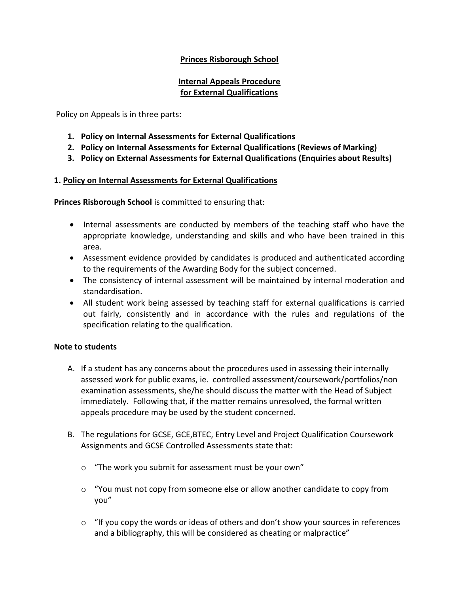## **Princes Risborough School**

### **Internal Appeals Procedure for External Qualifications**

Policy on Appeals is in three parts:

- **1. Policy on Internal Assessments for External Qualifications**
- **2. Policy on Internal Assessments for External Qualifications (Reviews of Marking)**
- **3. Policy on External Assessments for External Qualifications (Enquiries about Results)**

#### **1. Policy on Internal Assessments for External Qualifications**

**Princes Risborough School** is committed to ensuring that:

- Internal assessments are conducted by members of the teaching staff who have the appropriate knowledge, understanding and skills and who have been trained in this area.
- Assessment evidence provided by candidates is produced and authenticated according to the requirements of the Awarding Body for the subject concerned.
- The consistency of internal assessment will be maintained by internal moderation and standardisation.
- All student work being assessed by teaching staff for external qualifications is carried out fairly, consistently and in accordance with the rules and regulations of the specification relating to the qualification.

#### **Note to students**

- A. If a student has any concerns about the procedures used in assessing their internally assessed work for public exams, ie. controlled assessment/coursework/portfolios/non examination assessments, she/he should discuss the matter with the Head of Subject immediately. Following that, if the matter remains unresolved, the formal written appeals procedure may be used by the student concerned.
- B. The regulations for GCSE, GCE,BTEC, Entry Level and Project Qualification Coursework Assignments and GCSE Controlled Assessments state that:
	- o "The work you submit for assessment must be your own"
	- $\circ$  "You must not copy from someone else or allow another candidate to copy from you"
	- $\circ$  "If you copy the words or ideas of others and don't show your sources in references and a bibliography, this will be considered as cheating or malpractice"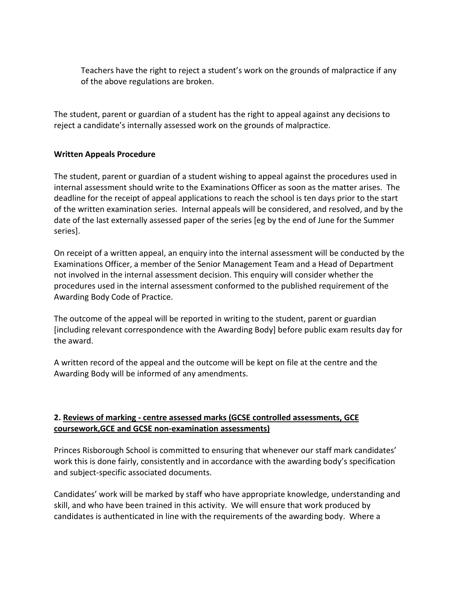Teachers have the right to reject a student's work on the grounds of malpractice if any of the above regulations are broken.

The student, parent or guardian of a student has the right to appeal against any decisions to reject a candidate's internally assessed work on the grounds of malpractice.

### **Written Appeals Procedure**

The student, parent or guardian of a student wishing to appeal against the procedures used in internal assessment should write to the Examinations Officer as soon as the matter arises. The deadline for the receipt of appeal applications to reach the school is ten days prior to the start of the written examination series. Internal appeals will be considered, and resolved, and by the date of the last externally assessed paper of the series [eg by the end of June for the Summer series].

On receipt of a written appeal, an enquiry into the internal assessment will be conducted by the Examinations Officer, a member of the Senior Management Team and a Head of Department not involved in the internal assessment decision. This enquiry will consider whether the procedures used in the internal assessment conformed to the published requirement of the Awarding Body Code of Practice.

The outcome of the appeal will be reported in writing to the student, parent or guardian [including relevant correspondence with the Awarding Body] before public exam results day for the award.

A written record of the appeal and the outcome will be kept on file at the centre and the Awarding Body will be informed of any amendments.

### **2. Reviews of marking - centre assessed marks (GCSE controlled assessments, GCE coursework,GCE and GCSE non-examination assessments)**

Princes Risborough School is committed to ensuring that whenever our staff mark candidates' work this is done fairly, consistently and in accordance with the awarding body's specification and subject-specific associated documents.

Candidates' work will be marked by staff who have appropriate knowledge, understanding and skill, and who have been trained in this activity. We will ensure that work produced by candidates is authenticated in line with the requirements of the awarding body. Where a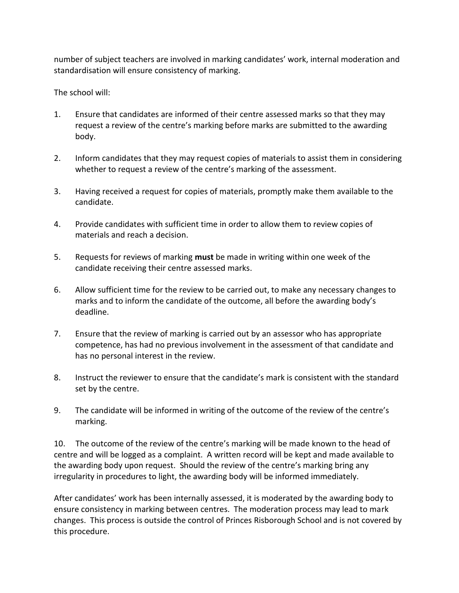number of subject teachers are involved in marking candidates' work, internal moderation and standardisation will ensure consistency of marking.

The school will:

- 1. Ensure that candidates are informed of their centre assessed marks so that they may request a review of the centre's marking before marks are submitted to the awarding body.
- 2. Inform candidates that they may request copies of materials to assist them in considering whether to request a review of the centre's marking of the assessment.
- 3. Having received a request for copies of materials, promptly make them available to the candidate.
- 4. Provide candidates with sufficient time in order to allow them to review copies of materials and reach a decision.
- 5. Requests for reviews of marking **must** be made in writing within one week of the candidate receiving their centre assessed marks.
- 6. Allow sufficient time for the review to be carried out, to make any necessary changes to marks and to inform the candidate of the outcome, all before the awarding body's deadline.
- 7. Ensure that the review of marking is carried out by an assessor who has appropriate competence, has had no previous involvement in the assessment of that candidate and has no personal interest in the review.
- 8. Instruct the reviewer to ensure that the candidate's mark is consistent with the standard set by the centre.
- 9. The candidate will be informed in writing of the outcome of the review of the centre's marking.

10. The outcome of the review of the centre's marking will be made known to the head of centre and will be logged as a complaint. A written record will be kept and made available to the awarding body upon request. Should the review of the centre's marking bring any irregularity in procedures to light, the awarding body will be informed immediately.

After candidates' work has been internally assessed, it is moderated by the awarding body to ensure consistency in marking between centres. The moderation process may lead to mark changes. This process is outside the control of Princes Risborough School and is not covered by this procedure.